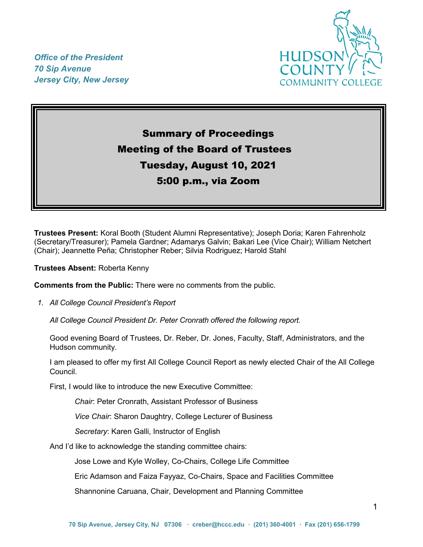*Office of the President 70 Sip Avenue Jersey City, New Jersey*



# Summary of Proceedings Meeting of the Board of Trustees Tuesday, August 10, 2021 5:00 p.m., via Zoom

**Trustees Present:** Koral Booth (Student Alumni Representative); Joseph Doria; Karen Fahrenholz (Secretary/Treasurer); Pamela Gardner; Adamarys Galvin; Bakari Lee (Vice Chair); William Netchert (Chair); Jeannette Peña; Christopher Reber; Silvia Rodriguez; Harold Stahl

**Trustees Absent:** Roberta Kenny

**Comments from the Public:** There were no comments from the public.

*1. All College Council President's Report* 

*All College Council President Dr. Peter Cronrath offered the following report.*

Good evening Board of Trustees, Dr. Reber, Dr. Jones, Faculty, Staff, Administrators, and the Hudson community.

I am pleased to offer my first All College Council Report as newly elected Chair of the All College Council.

First, I would like to introduce the new Executive Committee:

*Chair*: Peter Cronrath, Assistant Professor of Business

*Vice Chair*: Sharon Daughtry, College Lecturer of Business

*Secretary*: Karen Galli, Instructor of English

And I'd like to acknowledge the standing committee chairs:

Jose Lowe and Kyle Wolley, Co-Chairs, College Life Committee

Eric Adamson and Faiza Fayyaz, Co-Chairs, Space and Facilities Committee

Shannonine Caruana, Chair, Development and Planning Committee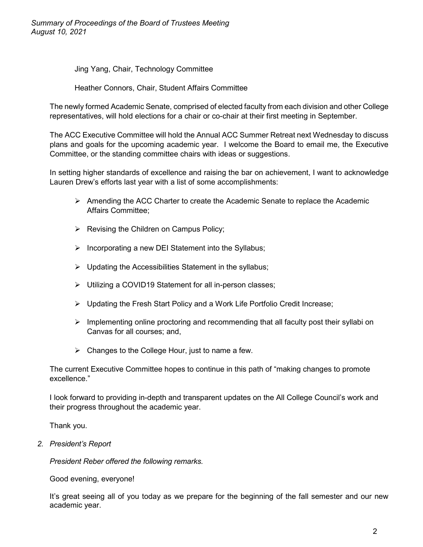*Summary of Proceedings of the Board of Trustees Meeting August 10, 2021*

Jing Yang, Chair, Technology Committee

Heather Connors, Chair, Student Affairs Committee

The newly formed Academic Senate, comprised of elected faculty from each division and other College representatives, will hold elections for a chair or co-chair at their first meeting in September.

The ACC Executive Committee will hold the Annual ACC Summer Retreat next Wednesday to discuss plans and goals for the upcoming academic year. I welcome the Board to email me, the Executive Committee, or the standing committee chairs with ideas or suggestions.

In setting higher standards of excellence and raising the bar on achievement, I want to acknowledge Lauren Drew's efforts last year with a list of some accomplishments:

- $\triangleright$  Amending the ACC Charter to create the Academic Senate to replace the Academic Affairs Committee;
- $\triangleright$  Revising the Children on Campus Policy;
- $\triangleright$  Incorporating a new DEI Statement into the Syllabus;
- $\triangleright$  Updating the Accessibilities Statement in the syllabus;
- Utilizing a COVID19 Statement for all in-person classes;
- Updating the Fresh Start Policy and a Work Life Portfolio Credit Increase;
- $\triangleright$  Implementing online proctoring and recommending that all faculty post their syllabi on Canvas for all courses; and,
- $\triangleright$  Changes to the College Hour, just to name a few.

The current Executive Committee hopes to continue in this path of "making changes to promote excellence."

I look forward to providing in-depth and transparent updates on the All College Council's work and their progress throughout the academic year.

Thank you.

*2. President's Report*

*President Reber offered the following remarks.*

Good evening, everyone!

It's great seeing all of you today as we prepare for the beginning of the fall semester and our new academic year.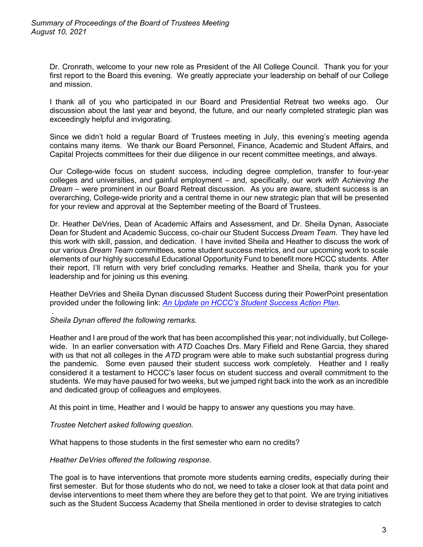Dr. Cronrath, welcome to your new role as President of the All College Council. Thank you for your first report to the Board this evening. We greatly appreciate your leadership on behalf of our College and mission.

I thank all of you who participated in our Board and Presidential Retreat two weeks ago. Our discussion about the last year and beyond, the future, and our nearly completed strategic plan was exceedingly helpful and invigorating.

Since we didn't hold a regular Board of Trustees meeting in July, this evening's meeting agenda contains many items. We thank our Board Personnel, Finance, Academic and Student Affairs, and Capital Projects committees for their due diligence in our recent committee meetings, and always.

Our College-wide focus on student success, including degree completion, transfer to four-year colleges and universities, and gainful employment – and, specifically, our work *with Achieving the Dream* – were prominent in our Board Retreat discussion. As you are aware, student success is an overarching, College-wide priority and a central theme in our new strategic plan that will be presented for your review and approval at the September meeting of the Board of Trustees.

Dr. Heather DeVries, Dean of Academic Affairs and Assessment, and Dr. Sheila Dynan, Associate Dean for Student and Academic Success, co-chair our Student Success *Dream Team*. They have led this work with skill, passion, and dedication. I have invited Sheila and Heather to discuss the work of our various *Dream Team* committees, some student success metrics, and our upcoming work to scale elements of our highly successful Educational Opportunity Fund to benefit more HCCC students. After their report, I'll return with very brief concluding remarks. Heather and Sheila, thank you for your leadership and for joining us this evening.

Heather DeVries and Sheila Dynan discussed Student Success during their PowerPoint presentation provided under the following link: *[An Update on HCCC's Student Success Action Plan.](https://myhudson.hccc.edu/president/Board%20of%20Trustees%20Resolutions%20and%20Minutes/HCCC-StudentSuccess-ActionPlan-BOT-08102021.pdf)*

#### *. Sheila Dynan offered the following remarks.*

Heather and I are proud of the work that has been accomplished this year; not individually, but Collegewide. In an earlier conversation with *ATD* Coaches Drs. Mary Fifield and Rene Garcia, they shared with us that not all colleges in the *ATD* program were able to make such substantial progress during the pandemic. Some even paused their student success work completely. Heather and I really considered it a testament to HCCC's laser focus on student success and overall commitment to the students. We may have paused for two weeks, but we jumped right back into the work as an incredible and dedicated group of colleagues and employees.

At this point in time, Heather and I would be happy to answer any questions you may have.

## *Trustee Netchert asked following question.*

What happens to those students in the first semester who earn no credits?

#### *Heather DeVries offered the following response.*

The goal is to have interventions that promote more students earning credits, especially during their first semester. But for those students who do not, we need to take a closer look at that data point and devise interventions to meet them where they are before they get to that point. We are trying initiatives such as the Student Success Academy that Sheila mentioned in order to devise strategies to catch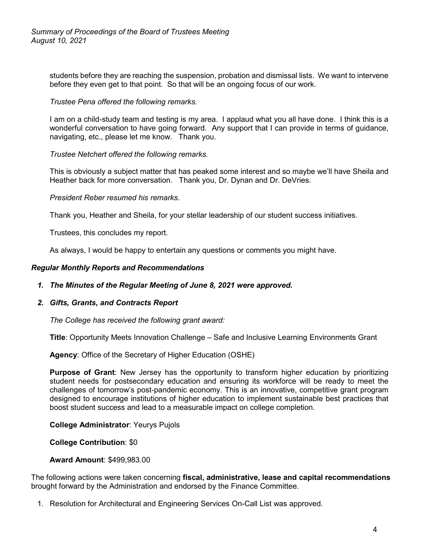students before they are reaching the suspension, probation and dismissal lists. We want to intervene before they even get to that point. So that will be an ongoing focus of our work.

### *Trustee Pena offered the following remarks.*

I am on a child-study team and testing is my area. I applaud what you all have done. I think this is a wonderful conversation to have going forward. Any support that I can provide in terms of guidance, navigating, etc., please let me know. Thank you.

#### *Trustee Netchert offered the following remarks.*

This is obviously a subject matter that has peaked some interest and so maybe we'll have Sheila and Heather back for more conversation. Thank you, Dr. Dynan and Dr. DeVries.

*President Reber resumed his remarks*.

Thank you, Heather and Sheila, for your stellar leadership of our student success initiatives.

Trustees, this concludes my report.

As always, I would be happy to entertain any questions or comments you might have.

#### *Regular Monthly Reports and Recommendations*

- *1. The Minutes of the Regular Meeting of June 8, 2021 were approved.*
- *2. Gifts, Grants, and Contracts Report*

*The College has received the following grant award:*

**Title**: Opportunity Meets Innovation Challenge – Safe and Inclusive Learning Environments Grant

**Agency**: Office of the Secretary of Higher Education (OSHE)

**Purpose of Grant**: New Jersey has the opportunity to transform higher education by prioritizing student needs for postsecondary education and ensuring its workforce will be ready to meet the challenges of tomorrow's post-pandemic economy. This is an innovative, competitive grant program designed to encourage institutions of higher education to implement sustainable best practices that boost student success and lead to a measurable impact on college completion.

**College Administrator**: Yeurys Pujols

**College Contribution**: \$0

#### **Award Amount**: \$499,983.00

The following actions were taken concerning **fiscal, administrative, lease and capital recommendations** brought forward by the Administration and endorsed by the Finance Committee.

1. Resolution for Architectural and Engineering Services On-Call List was approved.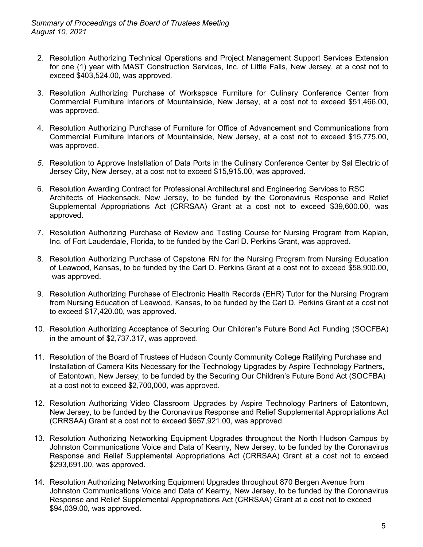- 2. Resolution Authorizing Technical Operations and Project Management Support Services Extension for one (1) year with MAST Construction Services, Inc. of Little Falls, New Jersey, at a cost not to exceed \$403,524.00, was approved.
- 3. Resolution Authorizing Purchase of Workspace Furniture for Culinary Conference Center from Commercial Furniture Interiors of Mountainside, New Jersey, at a cost not to exceed \$51,466.00, was approved.
- 4. Resolution Authorizing Purchase of Furniture for Office of Advancement and Communications from Commercial Furniture Interiors of Mountainside, New Jersey, at a cost not to exceed \$15,775.00, was approved.
- *5.* Resolution to Approve Installation of Data Ports in the Culinary Conference Center by Sal Electric of Jersey City, New Jersey, at a cost not to exceed \$15,915.00, was approved.
- 6. Resolution Awarding Contract for Professional Architectural and Engineering Services to RSC Architects of Hackensack, New Jersey, to be funded by the Coronavirus Response and Relief Supplemental Appropriations Act (CRRSAA) Grant at a cost not to exceed \$39,600.00, was approved.
- 7. Resolution Authorizing Purchase of Review and Testing Course for Nursing Program from Kaplan, Inc. of Fort Lauderdale, Florida, to be funded by the Carl D. Perkins Grant, was approved.
- 8. Resolution Authorizing Purchase of Capstone RN for the Nursing Program from Nursing Education of Leawood, Kansas, to be funded by the Carl D. Perkins Grant at a cost not to exceed \$58,900.00, was approved.
- 9. Resolution Authorizing Purchase of Electronic Health Records (EHR) Tutor for the Nursing Program from Nursing Education of Leawood, Kansas, to be funded by the Carl D. Perkins Grant at a cost not to exceed \$17,420.00, was approved.
- 10. Resolution Authorizing Acceptance of Securing Our Children's Future Bond Act Funding (SOCFBA) in the amount of \$2,737.317, was approved.
- 11. Resolution of the Board of Trustees of Hudson County Community College Ratifying Purchase and Installation of Camera Kits Necessary for the Technology Upgrades by Aspire Technology Partners, of Eatontown, New Jersey, to be funded by the Securing Our Children's Future Bond Act (SOCFBA) at a cost not to exceed \$2,700,000, was approved.
- 12. Resolution Authorizing Video Classroom Upgrades by Aspire Technology Partners of Eatontown, New Jersey, to be funded by the Coronavirus Response and Relief Supplemental Appropriations Act (CRRSAA) Grant at a cost not to exceed \$657,921.00, was approved.
- 13. Resolution Authorizing Networking Equipment Upgrades throughout the North Hudson Campus by Johnston Communications Voice and Data of Kearny, New Jersey, to be funded by the Coronavirus Response and Relief Supplemental Appropriations Act (CRRSAA) Grant at a cost not to exceed \$293,691.00, was approved.
- 14. Resolution Authorizing Networking Equipment Upgrades throughout 870 Bergen Avenue from Johnston Communications Voice and Data of Kearny, New Jersey, to be funded by the Coronavirus Response and Relief Supplemental Appropriations Act (CRRSAA) Grant at a cost not to exceed \$94,039.00, was approved.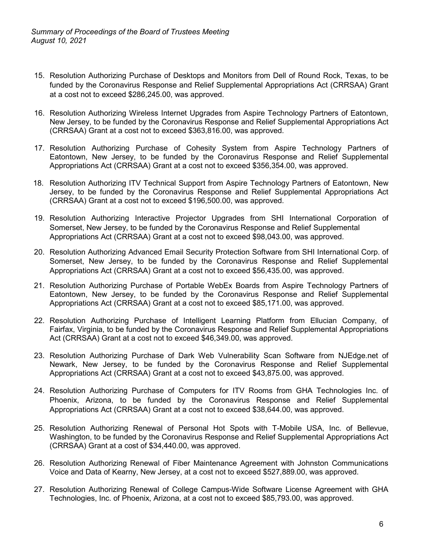- 15. Resolution Authorizing Purchase of Desktops and Monitors from Dell of Round Rock, Texas, to be funded by the Coronavirus Response and Relief Supplemental Appropriations Act (CRRSAA) Grant at a cost not to exceed \$286,245.00, was approved.
- 16. Resolution Authorizing Wireless Internet Upgrades from Aspire Technology Partners of Eatontown, New Jersey, to be funded by the Coronavirus Response and Relief Supplemental Appropriations Act (CRRSAA) Grant at a cost not to exceed \$363,816.00, was approved.
- 17. Resolution Authorizing Purchase of Cohesity System from Aspire Technology Partners of Eatontown, New Jersey, to be funded by the Coronavirus Response and Relief Supplemental Appropriations Act (CRRSAA) Grant at a cost not to exceed \$356,354.00, was approved.
- 18. Resolution Authorizing ITV Technical Support from Aspire Technology Partners of Eatontown, New Jersey, to be funded by the Coronavirus Response and Relief Supplemental Appropriations Act (CRRSAA) Grant at a cost not to exceed \$196,500.00, was approved.
- 19. Resolution Authorizing Interactive Projector Upgrades from SHI International Corporation of Somerset, New Jersey, to be funded by the Coronavirus Response and Relief Supplemental Appropriations Act (CRRSAA) Grant at a cost not to exceed \$98,043.00, was approved.
- 20. Resolution Authorizing Advanced Email Security Protection Software from SHI International Corp. of Somerset, New Jersey, to be funded by the Coronavirus Response and Relief Supplemental Appropriations Act (CRRSAA) Grant at a cost not to exceed \$56,435.00, was approved.
- 21. Resolution Authorizing Purchase of Portable WebEx Boards from Aspire Technology Partners of Eatontown, New Jersey, to be funded by the Coronavirus Response and Relief Supplemental Appropriations Act (CRRSAA) Grant at a cost not to exceed \$85,171.00, was approved.
- 22. Resolution Authorizing Purchase of Intelligent Learning Platform from Ellucian Company, of Fairfax, Virginia, to be funded by the Coronavirus Response and Relief Supplemental Appropriations Act (CRRSAA) Grant at a cost not to exceed \$46,349.00, was approved.
- 23. Resolution Authorizing Purchase of Dark Web Vulnerability Scan Software from NJEdge.net of Newark, New Jersey, to be funded by the Coronavirus Response and Relief Supplemental Appropriations Act (CRRSAA) Grant at a cost not to exceed \$43,875.00, was approved.
- 24. Resolution Authorizing Purchase of Computers for ITV Rooms from GHA Technologies Inc. of Phoenix, Arizona, to be funded by the Coronavirus Response and Relief Supplemental Appropriations Act (CRRSAA) Grant at a cost not to exceed \$38,644.00, was approved.
- 25. Resolution Authorizing Renewal of Personal Hot Spots with T-Mobile USA, Inc. of Bellevue, Washington, to be funded by the Coronavirus Response and Relief Supplemental Appropriations Act (CRRSAA) Grant at a cost of \$34,440.00, was approved.
- 26. Resolution Authorizing Renewal of Fiber Maintenance Agreement with Johnston Communications Voice and Data of Kearny, New Jersey, at a cost not to exceed \$527,889.00, was approved.
- 27. Resolution Authorizing Renewal of College Campus-Wide Software License Agreement with GHA Technologies, Inc. of Phoenix, Arizona, at a cost not to exceed \$85,793.00, was approved.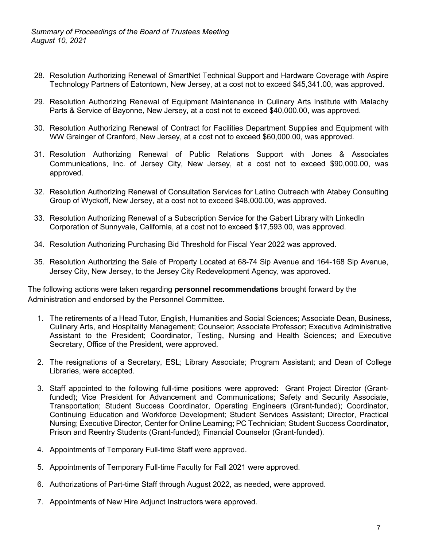- 28. Resolution Authorizing Renewal of SmartNet Technical Support and Hardware Coverage with Aspire Technology Partners of Eatontown, New Jersey, at a cost not to exceed \$45,341.00, was approved.
- 29. Resolution Authorizing Renewal of Equipment Maintenance in Culinary Arts Institute with Malachy Parts & Service of Bayonne, New Jersey, at a cost not to exceed \$40,000.00, was approved.
- 30. Resolution Authorizing Renewal of Contract for Facilities Department Supplies and Equipment with WW Grainger of Cranford, New Jersey, at a cost not to exceed \$60,000.00, was approved.
- 31. Resolution Authorizing Renewal of Public Relations Support with Jones & Associates Communications, Inc. of Jersey City, New Jersey, at a cost not to exceed \$90,000.00, was approved.
- 32*.* Resolution Authorizing Renewal of Consultation Services for Latino Outreach with Atabey Consulting Group of Wyckoff, New Jersey, at a cost not to exceed \$48,000.00, was approved.
- 33. Resolution Authorizing Renewal of a Subscription Service for the Gabert Library with LinkedIn Corporation of Sunnyvale, California, at a cost not to exceed \$17,593.00, was approved.
- 34. Resolution Authorizing Purchasing Bid Threshold for Fiscal Year 2022 was approved.
- 35. Resolution Authorizing the Sale of Property Located at 68-74 Sip Avenue and 164-168 Sip Avenue, Jersey City, New Jersey, to the Jersey City Redevelopment Agency, was approved.

The following actions were taken regarding **personnel recommendations** brought forward by the Administration and endorsed by the Personnel Committee.

- 1. The retirements of a Head Tutor, English, Humanities and Social Sciences; Associate Dean, Business, Culinary Arts, and Hospitality Management; Counselor; Associate Professor; Executive Administrative Assistant to the President; Coordinator, Testing, Nursing and Health Sciences; and Executive Secretary, Office of the President, were approved.
- 2. The resignations of a Secretary, ESL; Library Associate; Program Assistant; and Dean of College Libraries, were accepted.
- 3. Staff appointed to the following full-time positions were approved: Grant Project Director (Grantfunded); Vice President for Advancement and Communications; Safety and Security Associate, Transportation; Student Success Coordinator, Operating Engineers (Grant-funded); Coordinator, Continuing Education and Workforce Development; Student Services Assistant; Director, Practical Nursing; Executive Director, Center for Online Learning; PC Technician; Student Success Coordinator, Prison and Reentry Students (Grant-funded); Financial Counselor (Grant-funded).
- 4. Appointments of Temporary Full-time Staff were approved.
- 5. Appointments of Temporary Full-time Faculty for Fall 2021 were approved.
- 6. Authorizations of Part-time Staff through August 2022, as needed, were approved.
- 7. Appointments of New Hire Adjunct Instructors were approved.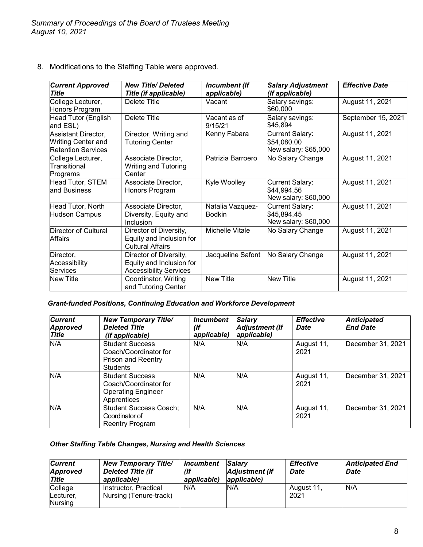8. Modifications to the Staffing Table were approved.

| <b>Current Approved</b><br>Title                                              | <b>New Title/Deleted</b><br>Title (if applicable)                                   | Incumbent (If<br>applicable)      | <b>Salary Adjustment</b><br>(If applicable)                   | <b>Effective Date</b> |
|-------------------------------------------------------------------------------|-------------------------------------------------------------------------------------|-----------------------------------|---------------------------------------------------------------|-----------------------|
| College Lecturer,<br>Honors Program                                           | Delete Title                                                                        | Vacant                            | Salary savings:<br>\$60,000                                   | August 11, 2021       |
| Head Tutor (English<br>and ESL)                                               | <b>Delete Title</b>                                                                 | Vacant as of<br>9/15/21           | Salary savings:<br>\$45,894                                   | September 15, 2021    |
| Assistant Director,<br><b>Writing Center and</b><br><b>Retention Services</b> | Director, Writing and<br><b>Tutoring Center</b>                                     | Kenny Fabara                      | <b>Current Salary:</b><br>\$54,080.00<br>New salary: \$65,000 | August 11, 2021       |
| College Lecturer,<br>Transitional<br>Programs                                 | Associate Director,<br><b>Writing and Tutoring</b><br>Center                        | Patrizia Barroero                 | No Salary Change                                              | August 11, 2021       |
| Head Tutor, STEM<br>and Business                                              | Associate Director,<br>Honors Program                                               | Kyle Woolley                      | <b>Current Salary:</b><br>\$44,994.56<br>New salary: \$60,000 | August 11, 2021       |
| Head Tutor, North<br><b>Hudson Campus</b>                                     | Associate Director,<br>Diversity, Equity and<br>Inclusion                           | Natalia Vazquez-<br><b>Bodkin</b> | <b>Current Salary:</b><br>\$45,894.45<br>New salary: \$60,000 | August 11, 2021       |
| <b>Director of Cultural</b><br>Affairs                                        | Director of Diversity,<br>Equity and Inclusion for<br><b>Cultural Affairs</b>       | Michelle Vitale                   | No Salary Change                                              | August 11, 2021       |
| Director,<br>Accessibility<br>Services                                        | Director of Diversity,<br>Equity and Inclusion for<br><b>Accessibility Services</b> | Jacqueline Safont                 | No Salary Change                                              | August 11, 2021       |
| New Title                                                                     | Coordinator, Writing<br>and Tutoring Center                                         | <b>New Title</b>                  | <b>New Title</b>                                              | August 11, 2021       |

# *Grant-funded Positions, Continuing Education and Workforce Development*

| <b>Current</b><br><b>Approved</b><br><b>Title</b> | <b>New Temporary Title/</b><br><b>Deleted Title</b><br>(if applicable)                      | <i><u><b>Incumbent</b></u></i><br>(If<br>applicable) | <b>Salary</b><br><b>Adjustment (If</b><br>applicable) | <b>Effective</b><br><b>Date</b> | <b>Anticipated</b><br><b>End Date</b> |
|---------------------------------------------------|---------------------------------------------------------------------------------------------|------------------------------------------------------|-------------------------------------------------------|---------------------------------|---------------------------------------|
| N/A                                               | <b>Student Success</b><br>Coach/Coordinator for<br>Prison and Reentry<br><b>Students</b>    | N/A                                                  | N/A                                                   | August 11,<br>2021              | December 31, 2021                     |
| N/A                                               | <b>Student Success</b><br>Coach/Coordinator for<br><b>Operating Engineer</b><br>Apprentices | N/A                                                  | N/A                                                   | August 11,<br>2021              | December 31, 2021                     |
| N/A                                               | <b>Student Success Coach;</b><br>Coordinator of<br>Reentry Program                          | N/A                                                  | N/A                                                   | August 11,<br>2021              | December 31, 2021                     |

# *Other Staffing Table Changes, Nursing and Health Sciences*

| <b>Current</b><br><b>Approved</b><br><b>Title</b> | <b>New Temporary Title/</b><br><b>Deleted Title (if</b><br>applicable) | Incumbent<br>(lf<br>applicable) | <b>Salarv</b><br>Adjustment (If<br>applicable) | <b>Effective</b><br><b>Date</b> | <b>Anticipated End</b><br>Date |
|---------------------------------------------------|------------------------------------------------------------------------|---------------------------------|------------------------------------------------|---------------------------------|--------------------------------|
| College<br>Lecturer,<br>Nursing                   | Instructor, Practical<br>Nursing (Tenure-track)                        | N/A                             | N/A                                            | August 11,<br>2021              | N/A                            |